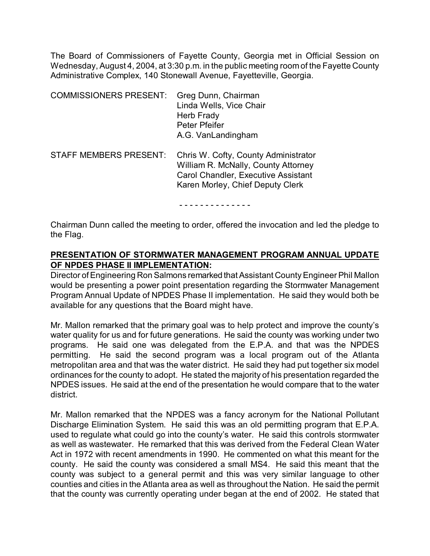The Board of Commissioners of Fayette County, Georgia met in Official Session on Wednesday, August 4, 2004, at 3:30 p.m. in the public meeting room of the Fayette County Administrative Complex, 140 Stonewall Avenue, Fayetteville, Georgia.

| <b>COMMISSIONERS PRESENT:</b> | Greg Dunn, Chairman<br>Linda Wells, Vice Chair<br>Herb Frady<br>Peter Pfeifer<br>A.G. VanLandingham                                                           |
|-------------------------------|---------------------------------------------------------------------------------------------------------------------------------------------------------------|
| <b>STAFF MEMBERS PRESENT:</b> | Chris W. Cofty, County Administrator<br>William R. McNally, County Attorney<br><b>Carol Chandler, Executive Assistant</b><br>Karen Morley, Chief Deputy Clerk |

- - - - - - - - - - - - - -

Chairman Dunn called the meeting to order, offered the invocation and led the pledge to the Flag.

#### **PRESENTATION OF STORMWATER MANAGEMENT PROGRAM ANNUAL UPDATE OF NPDES PHASE II IMPLEMENTATION:**

Director of Engineering Ron Salmons remarked that Assistant County Engineer Phil Mallon would be presenting a power point presentation regarding the Stormwater Management Program Annual Update of NPDES Phase II implementation. He said they would both be available for any questions that the Board might have.

Mr. Mallon remarked that the primary goal was to help protect and improve the county's water quality for us and for future generations. He said the county was working under two programs. He said one was delegated from the E.P.A. and that was the NPDES permitting. He said the second program was a local program out of the Atlanta metropolitan area and that was the water district. He said they had put together six model ordinances for the county to adopt. He stated the majority of his presentation regarded the NPDES issues. He said at the end of the presentation he would compare that to the water district.

Mr. Mallon remarked that the NPDES was a fancy acronym for the National Pollutant Discharge Elimination System. He said this was an old permitting program that E.P.A. used to regulate what could go into the county's water. He said this controls stormwater as well as wastewater. He remarked that this was derived from the Federal Clean Water Act in 1972 with recent amendments in 1990. He commented on what this meant for the county. He said the county was considered a small MS4. He said this meant that the county was subject to a general permit and this was very similar language to other counties and cities in the Atlanta area as well as throughout the Nation. He said the permit that the county was currently operating under began at the end of 2002. He stated that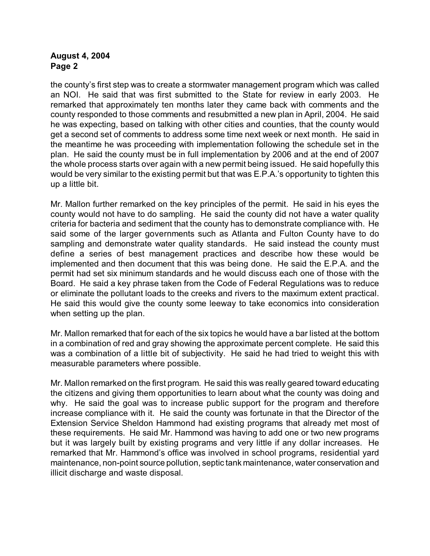the county's first step was to create a stormwater management program which was called an NOI. He said that was first submitted to the State for review in early 2003. He remarked that approximately ten months later they came back with comments and the county responded to those comments and resubmitted a new plan in April, 2004. He said he was expecting, based on talking with other cities and counties, that the county would get a second set of comments to address some time next week or next month. He said in the meantime he was proceeding with implementation following the schedule set in the plan. He said the county must be in full implementation by 2006 and at the end of 2007 the whole process starts over again with a new permit being issued. He said hopefully this would be very similar to the existing permit but that was E.P.A.'s opportunity to tighten this up a little bit.

Mr. Mallon further remarked on the key principles of the permit. He said in his eyes the county would not have to do sampling. He said the county did not have a water quality criteria for bacteria and sediment that the county has to demonstrate compliance with. He said some of the larger governments such as Atlanta and Fulton County have to do sampling and demonstrate water quality standards. He said instead the county must define a series of best management practices and describe how these would be implemented and then document that this was being done. He said the E.P.A. and the permit had set six minimum standards and he would discuss each one of those with the Board. He said a key phrase taken from the Code of Federal Regulations was to reduce or eliminate the pollutant loads to the creeks and rivers to the maximum extent practical. He said this would give the county some leeway to take economics into consideration when setting up the plan.

Mr. Mallon remarked that for each of the six topics he would have a bar listed at the bottom in a combination of red and gray showing the approximate percent complete. He said this was a combination of a little bit of subjectivity. He said he had tried to weight this with measurable parameters where possible.

Mr. Mallon remarked on the first program. He said this was really geared toward educating the citizens and giving them opportunities to learn about what the county was doing and why. He said the goal was to increase public support for the program and therefore increase compliance with it. He said the county was fortunate in that the Director of the Extension Service Sheldon Hammond had existing programs that already met most of these requirements. He said Mr. Hammond was having to add one or two new programs but it was largely built by existing programs and very little if any dollar increases. He remarked that Mr. Hammond's office was involved in school programs, residential yard maintenance, non-point source pollution, septic tank maintenance, water conservation and illicit discharge and waste disposal.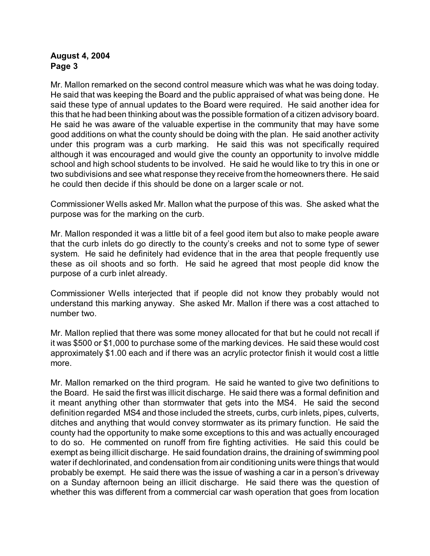Mr. Mallon remarked on the second control measure which was what he was doing today. He said that was keeping the Board and the public appraised of what was being done. He said these type of annual updates to the Board were required. He said another idea for this that he had been thinking about was the possible formation of a citizen advisory board. He said he was aware of the valuable expertise in the community that may have some good additions on what the county should be doing with the plan. He said another activity under this program was a curb marking. He said this was not specifically required although it was encouraged and would give the county an opportunity to involve middle school and high school students to be involved. He said he would like to try this in one or two subdivisions and see what response they receive fromthe homeowners there. He said he could then decide if this should be done on a larger scale or not.

Commissioner Wells asked Mr. Mallon what the purpose of this was. She asked what the purpose was for the marking on the curb.

Mr. Mallon responded it was a little bit of a feel good item but also to make people aware that the curb inlets do go directly to the county's creeks and not to some type of sewer system. He said he definitely had evidence that in the area that people frequently use these as oil shoots and so forth. He said he agreed that most people did know the purpose of a curb inlet already.

Commissioner Wells interjected that if people did not know they probably would not understand this marking anyway. She asked Mr. Mallon if there was a cost attached to number two.

Mr. Mallon replied that there was some money allocated for that but he could not recall if it was \$500 or \$1,000 to purchase some of the marking devices. He said these would cost approximately \$1.00 each and if there was an acrylic protector finish it would cost a little more.

Mr. Mallon remarked on the third program. He said he wanted to give two definitions to the Board. He said the first was illicit discharge. He said there was a formal definition and it meant anything other than stormwater that gets into the MS4. He said the second definition regarded MS4 and those included the streets, curbs, curb inlets, pipes, culverts, ditches and anything that would convey stormwater as its primary function. He said the county had the opportunity to make some exceptions to this and was actually encouraged to do so. He commented on runoff from fire fighting activities. He said this could be exempt as being illicit discharge. He said foundation drains, the draining of swimming pool water if dechlorinated, and condensation from air conditioning units were things that would probably be exempt. He said there was the issue of washing a car in a person's driveway on a Sunday afternoon being an illicit discharge. He said there was the question of whether this was different from a commercial car wash operation that goes from location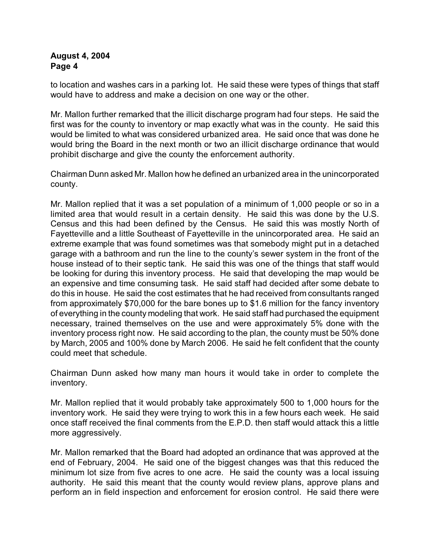to location and washes cars in a parking lot. He said these were types of things that staff would have to address and make a decision on one way or the other.

Mr. Mallon further remarked that the illicit discharge program had four steps. He said the first was for the county to inventory or map exactly what was in the county. He said this would be limited to what was considered urbanized area. He said once that was done he would bring the Board in the next month or two an illicit discharge ordinance that would prohibit discharge and give the county the enforcement authority.

Chairman Dunn asked Mr. Mallon how he defined an urbanized area in the unincorporated county.

Mr. Mallon replied that it was a set population of a minimum of 1,000 people or so in a limited area that would result in a certain density. He said this was done by the U.S. Census and this had been defined by the Census. He said this was mostly North of Fayetteville and a little Southeast of Fayetteville in the unincorporated area. He said an extreme example that was found sometimes was that somebody might put in a detached garage with a bathroom and run the line to the county's sewer system in the front of the house instead of to their septic tank. He said this was one of the things that staff would be looking for during this inventory process. He said that developing the map would be an expensive and time consuming task. He said staff had decided after some debate to do this in house. He said the cost estimates that he had received from consultants ranged from approximately \$70,000 for the bare bones up to \$1.6 million for the fancy inventory of everything in the county modeling that work. He said staff had purchased the equipment necessary, trained themselves on the use and were approximately 5% done with the inventory process right now. He said according to the plan, the county must be 50% done by March, 2005 and 100% done by March 2006. He said he felt confident that the county could meet that schedule.

Chairman Dunn asked how many man hours it would take in order to complete the inventory.

Mr. Mallon replied that it would probably take approximately 500 to 1,000 hours for the inventory work. He said they were trying to work this in a few hours each week. He said once staff received the final comments from the E.P.D. then staff would attack this a little more aggressively.

Mr. Mallon remarked that the Board had adopted an ordinance that was approved at the end of February, 2004. He said one of the biggest changes was that this reduced the minimum lot size from five acres to one acre. He said the county was a local issuing authority. He said this meant that the county would review plans, approve plans and perform an in field inspection and enforcement for erosion control. He said there were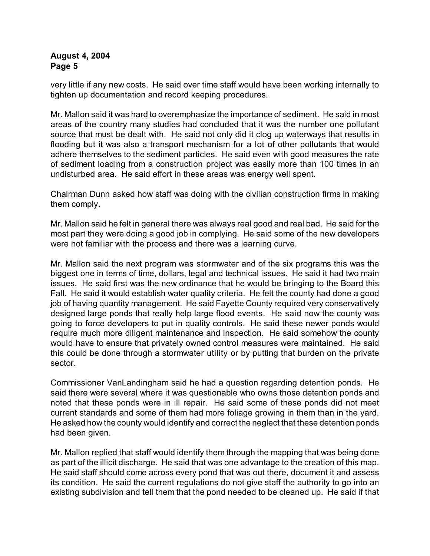very little if any new costs. He said over time staff would have been working internally to tighten up documentation and record keeping procedures.

Mr. Mallon said it was hard to overemphasize the importance of sediment. He said in most areas of the country many studies had concluded that it was the number one pollutant source that must be dealt with. He said not only did it clog up waterways that results in flooding but it was also a transport mechanism for a lot of other pollutants that would adhere themselves to the sediment particles. He said even with good measures the rate of sediment loading from a construction project was easily more than 100 times in an undisturbed area. He said effort in these areas was energy well spent.

Chairman Dunn asked how staff was doing with the civilian construction firms in making them comply.

Mr. Mallon said he felt in general there was always real good and real bad. He said for the most part they were doing a good job in complying. He said some of the new developers were not familiar with the process and there was a learning curve.

Mr. Mallon said the next program was stormwater and of the six programs this was the biggest one in terms of time, dollars, legal and technical issues. He said it had two main issues. He said first was the new ordinance that he would be bringing to the Board this Fall. He said it would establish water quality criteria. He felt the county had done a good job of having quantity management. He said Fayette County required very conservatively designed large ponds that really help large flood events. He said now the county was going to force developers to put in quality controls. He said these newer ponds would require much more diligent maintenance and inspection. He said somehow the county would have to ensure that privately owned control measures were maintained. He said this could be done through a stormwater utility or by putting that burden on the private sector.

Commissioner VanLandingham said he had a question regarding detention ponds. He said there were several where it was questionable who owns those detention ponds and noted that these ponds were in ill repair. He said some of these ponds did not meet current standards and some of them had more foliage growing in them than in the yard. He asked how the county would identify and correct the neglect that these detention ponds had been given.

Mr. Mallon replied that staff would identify them through the mapping that was being done as part of the illicit discharge. He said that was one advantage to the creation of this map. He said staff should come across every pond that was out there, document it and assess its condition. He said the current regulations do not give staff the authority to go into an existing subdivision and tell them that the pond needed to be cleaned up. He said if that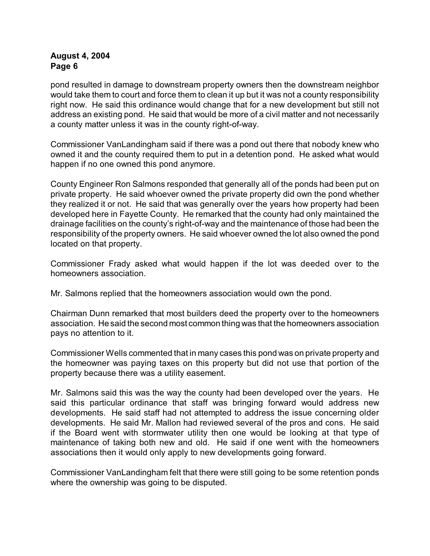pond resulted in damage to downstream property owners then the downstream neighbor would take them to court and force them to clean it up but it was not a county responsibility right now. He said this ordinance would change that for a new development but still not address an existing pond. He said that would be more of a civil matter and not necessarily a county matter unless it was in the county right-of-way.

Commissioner VanLandingham said if there was a pond out there that nobody knew who owned it and the county required them to put in a detention pond. He asked what would happen if no one owned this pond anymore.

County Engineer Ron Salmons responded that generally all of the ponds had been put on private property. He said whoever owned the private property did own the pond whether they realized it or not. He said that was generally over the years how property had been developed here in Fayette County. He remarked that the county had only maintained the drainage facilities on the county's right-of-way and the maintenance of those had been the responsibility of the property owners. He said whoever owned the lot also owned the pond located on that property.

Commissioner Frady asked what would happen if the lot was deeded over to the homeowners association.

Mr. Salmons replied that the homeowners association would own the pond.

Chairman Dunn remarked that most builders deed the property over to the homeowners association. He said the second most common thing was that the homeowners association pays no attention to it.

Commissioner Wells commented that in many cases this pond was on private property and the homeowner was paying taxes on this property but did not use that portion of the property because there was a utility easement.

Mr. Salmons said this was the way the county had been developed over the years. He said this particular ordinance that staff was bringing forward would address new developments. He said staff had not attempted to address the issue concerning older developments. He said Mr. Mallon had reviewed several of the pros and cons. He said if the Board went with stormwater utility then one would be looking at that type of maintenance of taking both new and old. He said if one went with the homeowners associations then it would only apply to new developments going forward.

Commissioner VanLandingham felt that there were still going to be some retention ponds where the ownership was going to be disputed.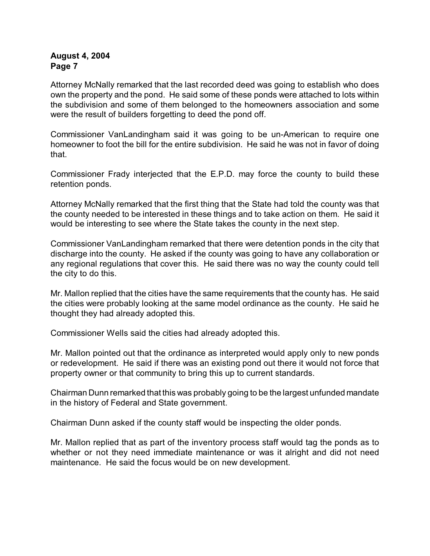Attorney McNally remarked that the last recorded deed was going to establish who does own the property and the pond. He said some of these ponds were attached to lots within the subdivision and some of them belonged to the homeowners association and some were the result of builders forgetting to deed the pond off.

Commissioner VanLandingham said it was going to be un-American to require one homeowner to foot the bill for the entire subdivision. He said he was not in favor of doing that.

Commissioner Frady interjected that the E.P.D. may force the county to build these retention ponds.

Attorney McNally remarked that the first thing that the State had told the county was that the county needed to be interested in these things and to take action on them. He said it would be interesting to see where the State takes the county in the next step.

Commissioner VanLandingham remarked that there were detention ponds in the city that discharge into the county. He asked if the county was going to have any collaboration or any regional regulations that cover this. He said there was no way the county could tell the city to do this.

Mr. Mallon replied that the cities have the same requirements that the county has. He said the cities were probably looking at the same model ordinance as the county. He said he thought they had already adopted this.

Commissioner Wells said the cities had already adopted this.

Mr. Mallon pointed out that the ordinance as interpreted would apply only to new ponds or redevelopment. He said if there was an existing pond out there it would not force that property owner or that community to bring this up to current standards.

Chairman Dunn remarked that this was probably going to be the largest unfunded mandate in the history of Federal and State government.

Chairman Dunn asked if the county staff would be inspecting the older ponds.

Mr. Mallon replied that as part of the inventory process staff would tag the ponds as to whether or not they need immediate maintenance or was it alright and did not need maintenance. He said the focus would be on new development.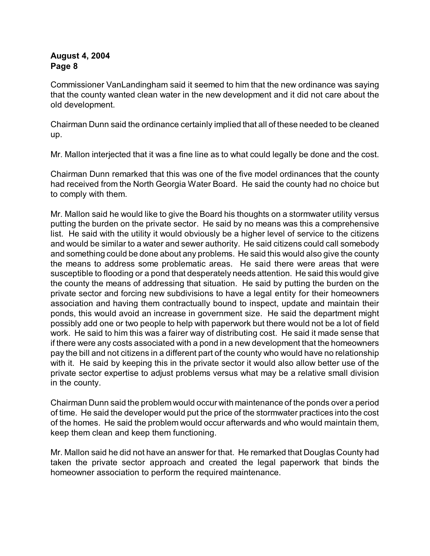Commissioner VanLandingham said it seemed to him that the new ordinance was saying that the county wanted clean water in the new development and it did not care about the old development.

Chairman Dunn said the ordinance certainly implied that all of these needed to be cleaned up.

Mr. Mallon interjected that it was a fine line as to what could legally be done and the cost.

Chairman Dunn remarked that this was one of the five model ordinances that the county had received from the North Georgia Water Board. He said the county had no choice but to comply with them.

Mr. Mallon said he would like to give the Board his thoughts on a stormwater utility versus putting the burden on the private sector. He said by no means was this a comprehensive list. He said with the utility it would obviously be a higher level of service to the citizens and would be similar to a water and sewer authority. He said citizens could call somebody and something could be done about any problems. He said this would also give the county the means to address some problematic areas. He said there were areas that were susceptible to flooding or a pond that desperately needs attention. He said this would give the county the means of addressing that situation. He said by putting the burden on the private sector and forcing new subdivisions to have a legal entity for their homeowners association and having them contractually bound to inspect, update and maintain their ponds, this would avoid an increase in government size. He said the department might possibly add one or two people to help with paperwork but there would not be a lot of field work. He said to him this was a fairer way of distributing cost. He said it made sense that if there were any costs associated with a pond in a new development that the homeowners pay the bill and not citizens in a different part of the county who would have no relationship with it. He said by keeping this in the private sector it would also allow better use of the private sector expertise to adjust problems versus what may be a relative small division in the county.

Chairman Dunn said the problem would occur with maintenance of the ponds over a period of time. He said the developer would put the price of the stormwater practices into the cost of the homes. He said the problem would occur afterwards and who would maintain them, keep them clean and keep them functioning.

Mr. Mallon said he did not have an answer for that. He remarked that Douglas County had taken the private sector approach and created the legal paperwork that binds the homeowner association to perform the required maintenance.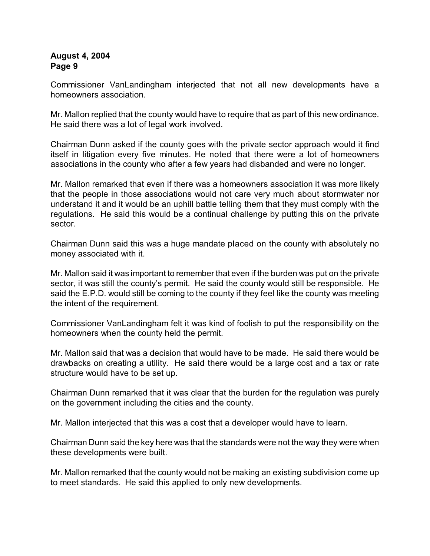Commissioner VanLandingham interjected that not all new developments have a homeowners association.

Mr. Mallon replied that the county would have to require that as part of this new ordinance. He said there was a lot of legal work involved.

Chairman Dunn asked if the county goes with the private sector approach would it find itself in litigation every five minutes. He noted that there were a lot of homeowners associations in the county who after a few years had disbanded and were no longer.

Mr. Mallon remarked that even if there was a homeowners association it was more likely that the people in those associations would not care very much about stormwater nor understand it and it would be an uphill battle telling them that they must comply with the regulations. He said this would be a continual challenge by putting this on the private sector.

Chairman Dunn said this was a huge mandate placed on the county with absolutely no money associated with it.

Mr. Mallon said it was important to remember that even if the burden was put on the private sector, it was still the county's permit. He said the county would still be responsible. He said the E.P.D. would still be coming to the county if they feel like the county was meeting the intent of the requirement.

Commissioner VanLandingham felt it was kind of foolish to put the responsibility on the homeowners when the county held the permit.

Mr. Mallon said that was a decision that would have to be made. He said there would be drawbacks on creating a utility. He said there would be a large cost and a tax or rate structure would have to be set up.

Chairman Dunn remarked that it was clear that the burden for the regulation was purely on the government including the cities and the county.

Mr. Mallon interjected that this was a cost that a developer would have to learn.

Chairman Dunn said the key here was that the standards were not the way they were when these developments were built.

Mr. Mallon remarked that the county would not be making an existing subdivision come up to meet standards. He said this applied to only new developments.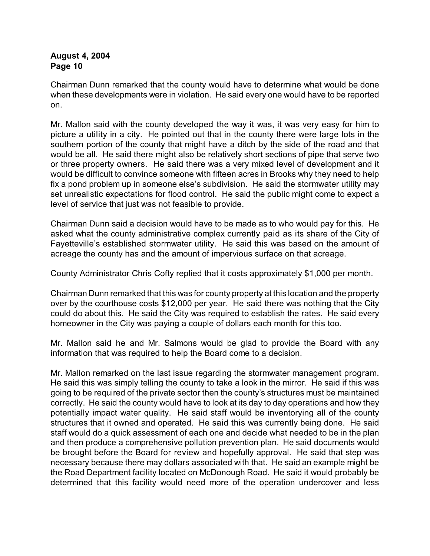Chairman Dunn remarked that the county would have to determine what would be done when these developments were in violation. He said every one would have to be reported on.

Mr. Mallon said with the county developed the way it was, it was very easy for him to picture a utility in a city. He pointed out that in the county there were large lots in the southern portion of the county that might have a ditch by the side of the road and that would be all. He said there might also be relatively short sections of pipe that serve two or three property owners. He said there was a very mixed level of development and it would be difficult to convince someone with fifteen acres in Brooks why they need to help fix a pond problem up in someone else's subdivision. He said the stormwater utility may set unrealistic expectations for flood control. He said the public might come to expect a level of service that just was not feasible to provide.

Chairman Dunn said a decision would have to be made as to who would pay for this. He asked what the county administrative complex currently paid as its share of the City of Fayetteville's established stormwater utility. He said this was based on the amount of acreage the county has and the amount of impervious surface on that acreage.

County Administrator Chris Cofty replied that it costs approximately \$1,000 per month.

Chairman Dunn remarked that this was for county property at this location and the property over by the courthouse costs \$12,000 per year. He said there was nothing that the City could do about this. He said the City was required to establish the rates. He said every homeowner in the City was paying a couple of dollars each month for this too.

Mr. Mallon said he and Mr. Salmons would be glad to provide the Board with any information that was required to help the Board come to a decision.

Mr. Mallon remarked on the last issue regarding the stormwater management program. He said this was simply telling the county to take a look in the mirror. He said if this was going to be required of the private sector then the county's structures must be maintained correctly. He said the county would have to look at its day to day operations and how they potentially impact water quality. He said staff would be inventorying all of the county structures that it owned and operated. He said this was currently being done. He said staff would do a quick assessment of each one and decide what needed to be in the plan and then produce a comprehensive pollution prevention plan. He said documents would be brought before the Board for review and hopefully approval. He said that step was necessary because there may dollars associated with that. He said an example might be the Road Department facility located on McDonough Road. He said it would probably be determined that this facility would need more of the operation undercover and less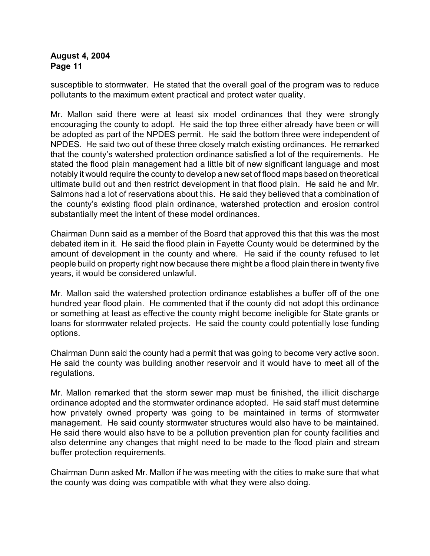susceptible to stormwater. He stated that the overall goal of the program was to reduce pollutants to the maximum extent practical and protect water quality.

Mr. Mallon said there were at least six model ordinances that they were strongly encouraging the county to adopt. He said the top three either already have been or will be adopted as part of the NPDES permit. He said the bottom three were independent of NPDES. He said two out of these three closely match existing ordinances. He remarked that the county's watershed protection ordinance satisfied a lot of the requirements. He stated the flood plain management had a little bit of new significant language and most notably it would require the county to develop a new set of flood maps based on theoretical ultimate build out and then restrict development in that flood plain. He said he and Mr. Salmons had a lot of reservations about this. He said they believed that a combination of the county's existing flood plain ordinance, watershed protection and erosion control substantially meet the intent of these model ordinances.

Chairman Dunn said as a member of the Board that approved this that this was the most debated item in it. He said the flood plain in Fayette County would be determined by the amount of development in the county and where. He said if the county refused to let people build on property right now because there might be a flood plain there in twenty five years, it would be considered unlawful.

Mr. Mallon said the watershed protection ordinance establishes a buffer off of the one hundred year flood plain. He commented that if the county did not adopt this ordinance or something at least as effective the county might become ineligible for State grants or loans for stormwater related projects. He said the county could potentially lose funding options.

Chairman Dunn said the county had a permit that was going to become very active soon. He said the county was building another reservoir and it would have to meet all of the regulations.

Mr. Mallon remarked that the storm sewer map must be finished, the illicit discharge ordinance adopted and the stormwater ordinance adopted. He said staff must determine how privately owned property was going to be maintained in terms of stormwater management. He said county stormwater structures would also have to be maintained. He said there would also have to be a pollution prevention plan for county facilities and also determine any changes that might need to be made to the flood plain and stream buffer protection requirements.

Chairman Dunn asked Mr. Mallon if he was meeting with the cities to make sure that what the county was doing was compatible with what they were also doing.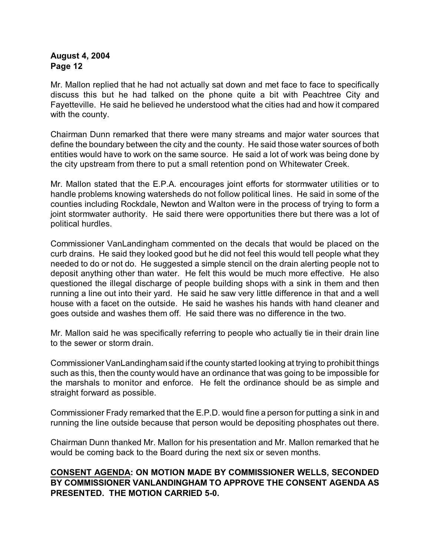Mr. Mallon replied that he had not actually sat down and met face to face to specifically discuss this but he had talked on the phone quite a bit with Peachtree City and Fayetteville. He said he believed he understood what the cities had and how it compared with the county.

Chairman Dunn remarked that there were many streams and major water sources that define the boundary between the city and the county. He said those water sources of both entities would have to work on the same source. He said a lot of work was being done by the city upstream from there to put a small retention pond on Whitewater Creek.

Mr. Mallon stated that the E.P.A. encourages joint efforts for stormwater utilities or to handle problems knowing watersheds do not follow political lines. He said in some of the counties including Rockdale, Newton and Walton were in the process of trying to form a joint stormwater authority. He said there were opportunities there but there was a lot of political hurdles.

Commissioner VanLandingham commented on the decals that would be placed on the curb drains. He said they looked good but he did not feel this would tell people what they needed to do or not do. He suggested a simple stencil on the drain alerting people not to deposit anything other than water. He felt this would be much more effective. He also questioned the illegal discharge of people building shops with a sink in them and then running a line out into their yard. He said he saw very little difference in that and a well house with a facet on the outside. He said he washes his hands with hand cleaner and goes outside and washes them off. He said there was no difference in the two.

Mr. Mallon said he was specifically referring to people who actually tie in their drain line to the sewer or storm drain.

Commissioner VanLandinghamsaid if the county started looking at trying to prohibit things such as this, then the county would have an ordinance that was going to be impossible for the marshals to monitor and enforce. He felt the ordinance should be as simple and straight forward as possible.

Commissioner Frady remarked that the E.P.D. would fine a person for putting a sink in and running the line outside because that person would be depositing phosphates out there.

Chairman Dunn thanked Mr. Mallon for his presentation and Mr. Mallon remarked that he would be coming back to the Board during the next six or seven months.

## **CONSENT AGENDA: ON MOTION MADE BY COMMISSIONER WELLS, SECONDED BY COMMISSIONER VANLANDINGHAM TO APPROVE THE CONSENT AGENDA AS PRESENTED. THE MOTION CARRIED 5-0.**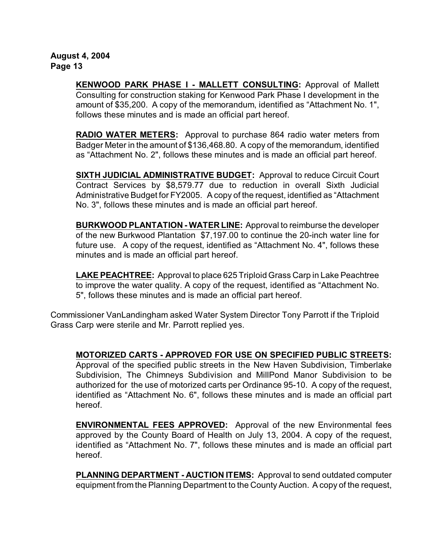> **KENWOOD PARK PHASE I - MALLETT CONSULTING:** Approval of Mallett Consulting for construction staking for Kenwood Park Phase I development in the amount of \$35,200. A copy of the memorandum, identified as "Attachment No. 1", follows these minutes and is made an official part hereof.

> **RADIO WATER METERS:** Approval to purchase 864 radio water meters from Badger Meter in the amount of \$136,468.80. A copy of the memorandum, identified as "Attachment No. 2", follows these minutes and is made an official part hereof.

> **SIXTH JUDICIAL ADMINISTRATIVE BUDGET:** Approval to reduce Circuit Court Contract Services by \$8,579.77 due to reduction in overall Sixth Judicial Administrative Budget for FY2005. A copy of the request, identified as "Attachment No. 3", follows these minutes and is made an official part hereof.

> **BURKWOOD PLANTATION - WATER LINE:** Approval to reimburse the developer of the new Burkwood Plantation \$7,197.00 to continue the 20-inch water line for future use. A copy of the request, identified as "Attachment No. 4", follows these minutes and is made an official part hereof.

> **LAKE PEACHTREE:** Approval to place 625 Triploid Grass Carp in Lake Peachtree to improve the water quality. A copy of the request, identified as "Attachment No. 5", follows these minutes and is made an official part hereof.

Commissioner VanLandingham asked Water System Director Tony Parrott if the Triploid Grass Carp were sterile and Mr. Parrott replied yes.

**MOTORIZED CARTS - APPROVED FOR USE ON SPECIFIED PUBLIC STREETS:**

Approval of the specified public streets in the New Haven Subdivision, Timberlake Subdivision, The Chimneys Subdivision and MillPond Manor Subdivision to be authorized for the use of motorized carts per Ordinance 95-10. A copy of the request, identified as "Attachment No. 6", follows these minutes and is made an official part hereof.

**ENVIRONMENTAL FEES APPROVED:** Approval of the new Environmental fees approved by the County Board of Health on July 13, 2004. A copy of the request, identified as "Attachment No. 7", follows these minutes and is made an official part hereof.

**PLANNING DEPARTMENT - AUCTION ITEMS:** Approval to send outdated computer equipment from the Planning Department to the County Auction. A copy of the request,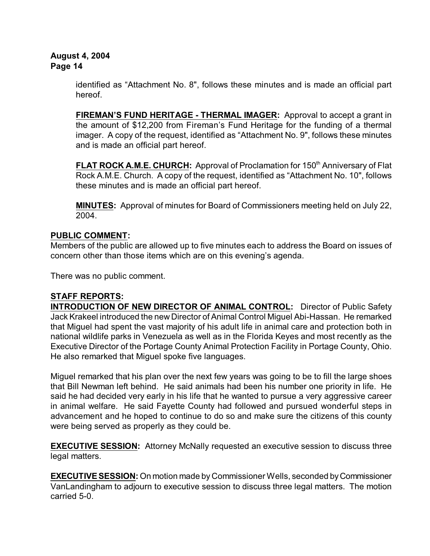identified as "Attachment No. 8", follows these minutes and is made an official part hereof.

**FIREMAN'S FUND HERITAGE - THERMAL IMAGER:** Approval to accept a grant in the amount of \$12,200 from Fireman's Fund Heritage for the funding of a thermal imager. A copy of the request, identified as "Attachment No. 9", follows these minutes and is made an official part hereof.

FLAT ROCK A.M.E. CHURCH: Approval of Proclamation for 150<sup>th</sup> Anniversary of Flat Rock A.M.E. Church. A copy of the request, identified as "Attachment No. 10", follows these minutes and is made an official part hereof.

**MINUTES:** Approval of minutes for Board of Commissioners meeting held on July 22, 2004.

# **PUBLIC COMMENT:**

Members of the public are allowed up to five minutes each to address the Board on issues of concern other than those items which are on this evening's agenda.

There was no public comment.

# **STAFF REPORTS:**

**INTRODUCTION OF NEW DIRECTOR OF ANIMAL CONTROL:** Director of Public Safety Jack Krakeel introduced the new Director of Animal Control Miguel Abi-Hassan. He remarked that Miguel had spent the vast majority of his adult life in animal care and protection both in national wildlife parks in Venezuela as well as in the Florida Keyes and most recently as the Executive Director of the Portage County Animal Protection Facility in Portage County, Ohio. He also remarked that Miguel spoke five languages.

Miguel remarked that his plan over the next few years was going to be to fill the large shoes that Bill Newman left behind. He said animals had been his number one priority in life. He said he had decided very early in his life that he wanted to pursue a very aggressive career in animal welfare. He said Fayette County had followed and pursued wonderful steps in advancement and he hoped to continue to do so and make sure the citizens of this county were being served as properly as they could be.

**EXECUTIVE SESSION:** Attorney McNally requested an executive session to discuss three legal matters.

**EXECUTIVE SESSION:** On motion made by Commissioner Wells, seconded by Commissioner VanLandingham to adjourn to executive session to discuss three legal matters. The motion carried 5-0.